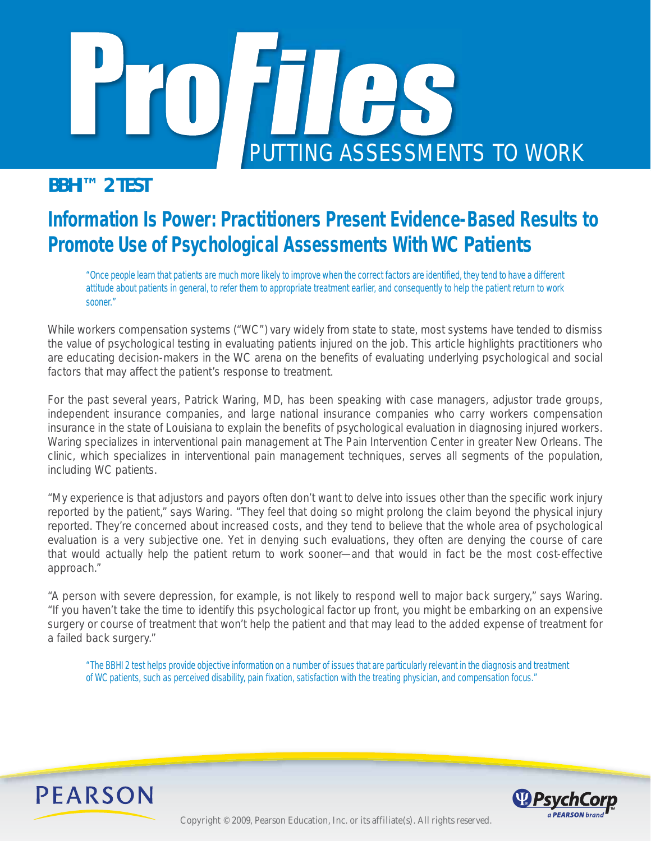

*BBHI™ 2 TEST*

# **Information Is Power: Practitioners Present Evidence-Based Results to Promote Use of Psychological Assessments WithWC Patients**

"Once people learn that patients are much more likely to improve when the correct factors are identified, they tend to have a different *attitude about patients in general, to refer them to appropriate treatment earlier, and consequently to help the patient return to work sooner."* 

While workers compensation systems ("WC") vary widely from state to state, most systems have tended to dismiss the value of psychological testing in evaluating patients injured on the job. This article highlights practitioners who are educating decision-makers in the WC arena on the benefits of evaluating underlying psychological and social factors that may affect the patient's response to treatment.

For the past several years, Patrick Waring, MD, has been speaking with case managers, adjustor trade groups, independent insurance companies, and large national insurance companies who carry workers compensation insurance in the state of Louisiana to explain the benefits of psychological evaluation in diagnosing injured workers. Waring specializes in interventional pain management at The Pain Intervention Center in greater New Orleans. The clinic, which specializes in interventional pain management techniques, serves all segments of the population, including WC patients.

"My experience is that adjustors and payors often don't want to delve into issues other than the specific work injury reported by the patient," says Waring. "They feel that doing so might prolong the claim beyond the physical injury reported. They're concerned about increased costs, and they tend to believe that the whole area of psychological evaluation is a very subjective one. Yet in denying such evaluations, they often are denying the course of care that would actually help the patient return to work sooner—and that would in fact be the most cost-effective approach."

"A person with severe depression, for example, is not likely to respond well to major back surgery," says Waring. "If you haven't take the time to identify this psychological factor up front, you might be embarking on an expensive surgery or course of treatment that won't help the patient and that may lead to the added expense of treatment for a failed back surgery."

*"The BBHI 2 test helps provide objective information on a number of issues that are particularly relevant in the diagnosis and treatment*  of WC patients, such as perceived disability, pain fixation, satisfaction with the treating physician, and compensation focus."



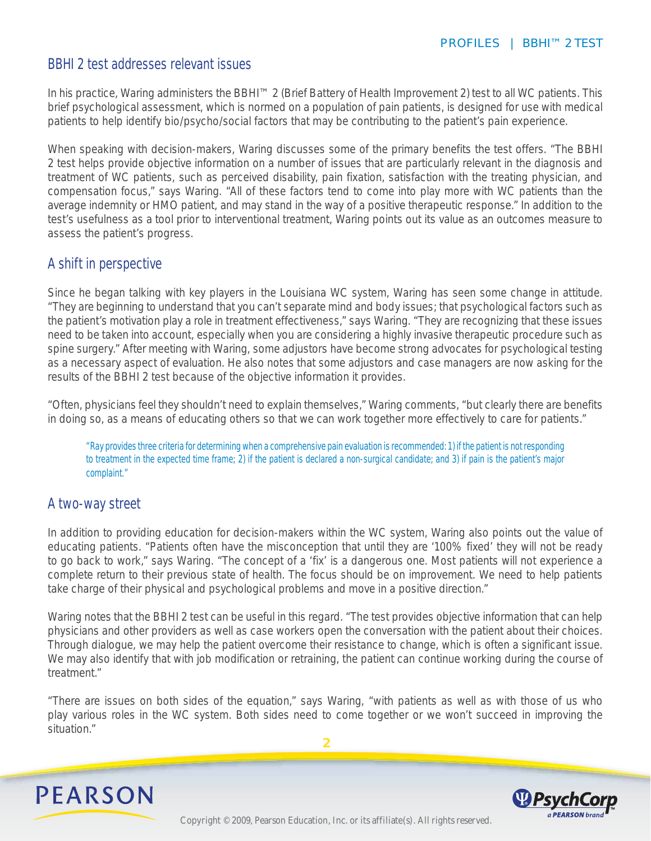## BBHI 2 test addresses relevant issues

In his practice, Waring administers the BBHI™ 2 (Brief Battery of Health Improvement 2) test to all WC patients. This brief psychological assessment, which is normed on a population of pain patients, is designed for use with medical patients to help identify bio/psycho/social factors that may be contributing to the patient's pain experience.

When speaking with decision-makers, Waring discusses some of the primary benefits the test offers. "The BBHI 2 test helps provide objective information on a number of issues that are particularly relevant in the diagnosis and treatment of WC patients, such as perceived disability, pain fixation, satisfaction with the treating physician, and compensation focus," says Waring. "All of these factors tend to come into play more with WC patients than the average indemnity or HMO patient, and may stand in the way of a positive therapeutic response." In addition to the test's usefulness as a tool prior to interventional treatment, Waring points out its value as an outcomes measure to assess the patient's progress.

## A shift in perspective

Since he began talking with key players in the Louisiana WC system, Waring has seen some change in attitude. "They are beginning to understand that you can't separate mind and body issues; that psychological factors such as the patient's motivation play a role in treatment effectiveness," says Waring. "They are recognizing that these issues need to be taken into account, especially when you are considering a highly invasive therapeutic procedure such as spine surgery." After meeting with Waring, some adjustors have become strong advocates for psychological testing as a necessary aspect of evaluation. He also notes that some adjustors and case managers are now asking for the results of the BBHI 2 test because of the objective information it provides.

"Often, physicians feel they shouldn't need to explain themselves," Waring comments, "but clearly there are benefits in doing so, as a means of educating others so that we can work together more effectively to care for patients."

*"Ray provides three criteria for determining when a comprehensive pain evaluation is recommended: 1) if the patient is not responding to treatment in the expected time frame; 2) if the patient is declared a non-surgical candidate; and 3) if pain is the patient's major complaint."*

## A two-way street

In addition to providing education for decision-makers within the WC system, Waring also points out the value of educating patients. "Patients often have the misconception that until they are '100% fixed' they will not be ready to go back to work," says Waring. "The concept of a 'fix' is a dangerous one. Most patients will not experience a complete return to their previous state of health. The focus should be on improvement. We need to help patients take charge of their physical and psychological problems and move in a positive direction."

Waring notes that the BBHI 2 test can be useful in this regard. "The test provides objective information that can help physicians and other providers as well as case workers open the conversation with the patient about their choices. Through dialogue, we may help the patient overcome their resistance to change, which is often a significant issue. We may also identify that with job modification or retraining, the patient can continue working during the course of treatment."

"There are issues on both sides of the equation," says Waring, "with patients as well as with those of us who play various roles in the WC system. Both sides need to come together or we won't succeed in improving the situation."

**2**



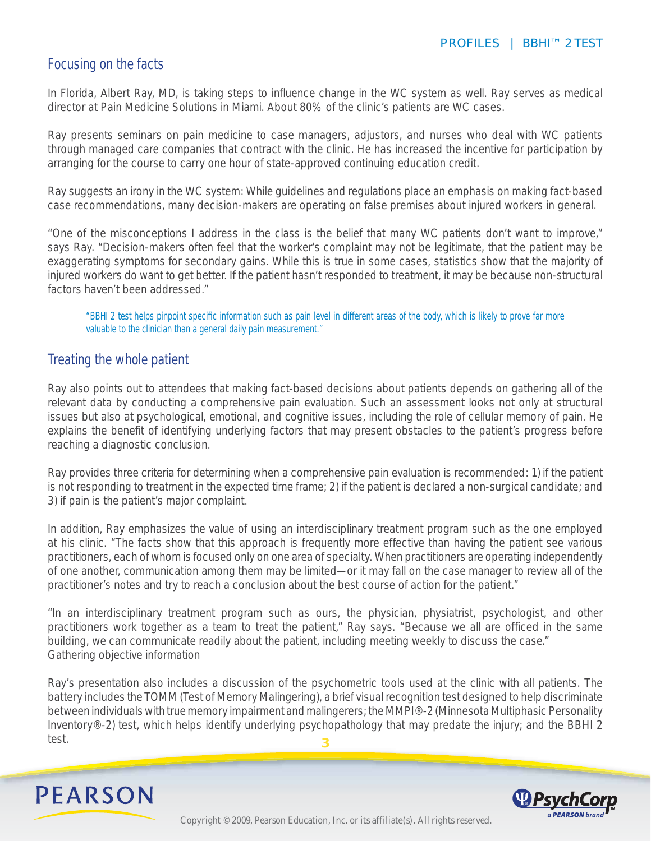## Focusing on the facts

In Florida, Albert Ray, MD, is taking steps to influence change in the WC system as well. Ray serves as medical director at Pain Medicine Solutions in Miami. About 80% of the clinic's patients are WC cases.

Ray presents seminars on pain medicine to case managers, adjustors, and nurses who deal with WC patients through managed care companies that contract with the clinic. He has increased the incentive for participation by arranging for the course to carry one hour of state-approved continuing education credit.

Ray suggests an irony in the WC system: While guidelines and regulations place an emphasis on making fact-based case recommendations, many decision-makers are operating on false premises about injured workers in general.

"One of the misconceptions I address in the class is the belief that many WC patients don't want to improve," says Ray. "Decision-makers often feel that the worker's complaint may not be legitimate, that the patient may be exaggerating symptoms for secondary gains. While this is true in some cases, statistics show that the majority of injured workers do want to get better. If the patient hasn't responded to treatment, it may be because non-structural factors haven't been addressed."

*"BBHI 2 test helps pinpoint specific information such as pain level in different areas of the body, which is likely to prove far more valuable to the clinician than a general daily pain measurement."*

### Treating the whole patient

Ray also points out to attendees that making fact-based decisions about patients depends on gathering all of the relevant data by conducting a comprehensive pain evaluation. Such an assessment looks not only at structural issues but also at psychological, emotional, and cognitive issues, including the role of cellular memory of pain. He explains the benefit of identifying underlying factors that may present obstacles to the patient's progress before reaching a diagnostic conclusion.

Ray provides three criteria for determining when a comprehensive pain evaluation is recommended: 1) if the patient is not responding to treatment in the expected time frame; 2) if the patient is declared a non-surgical candidate; and 3) if pain is the patient's major complaint.

In addition, Ray emphasizes the value of using an interdisciplinary treatment program such as the one employed at his clinic. "The facts show that this approach is frequently more effective than having the patient see various practitioners, each of whom is focused only on one area of specialty. When practitioners are operating independently of one another, communication among them may be limited—or it may fall on the case manager to review all of the practitioner's notes and try to reach a conclusion about the best course of action for the patient."

"In an interdisciplinary treatment program such as ours, the physician, physiatrist, psychologist, and other practitioners work together as a team to treat the patient," Ray says. "Because we all are officed in the same building, we can communicate readily about the patient, including meeting weekly to discuss the case." Gathering objective information

**3** Ray's presentation also includes a discussion of the psychometric tools used at the clinic with all patients. The battery includes the TOMM (Test of Memory Malingering), a brief visual recognition test designed to help discriminate between individuals with true memory impairment and malingerers; the MMPI®-2 (Minnesota Multiphasic Personality Inventory®-2) test, which helps identify underlying psychopathology that may predate the injury; and the BBHI 2 test.



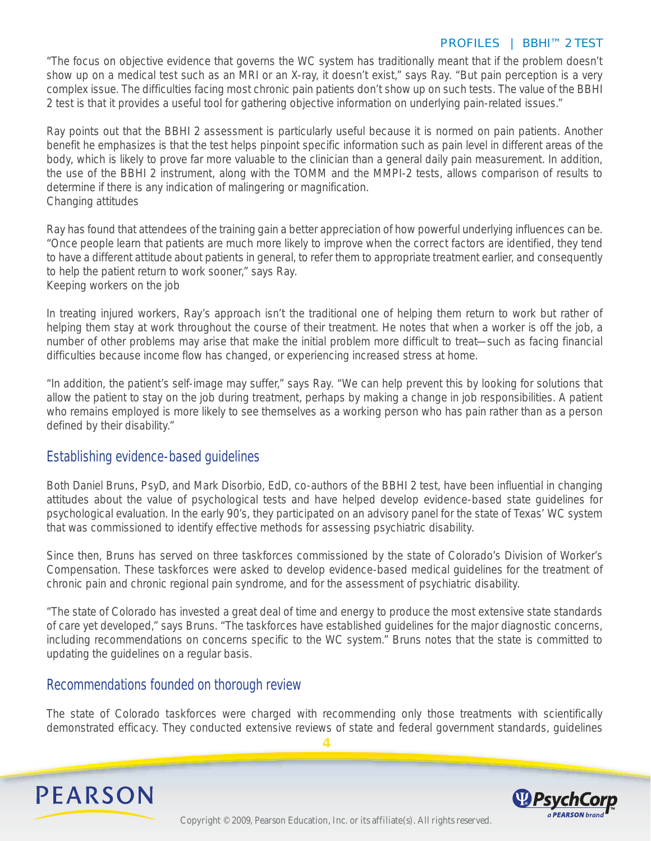#### *PROFILES | BBHI™ 2 TEST*

"The focus on objective evidence that governs the WC system has traditionally meant that if the problem doesn't show up on a medical test such as an MRI or an X-ray, it doesn't exist," says Ray. "But pain perception is a very complex issue. The difficulties facing most chronic pain patients don't show up on such tests. The value of the BBHI 2 test is that it provides a useful tool for gathering objective information on underlying pain-related issues."

Ray points out that the BBHI 2 assessment is particularly useful because it is normed on pain patients. Another benefit he emphasizes is that the test helps pinpoint specific information such as pain level in different areas of the body, which is likely to prove far more valuable to the clinician than a general daily pain measurement. In addition, the use of the BBHI 2 instrument, along with the TOMM and the MMPI-2 tests, allows comparison of results to determine if there is any indication of malingering or magnification. Changing attitudes

Ray has found that attendees of the training gain a better appreciation of how powerful underlying influences can be. "Once people learn that patients are much more likely to improve when the correct factors are identified, they tend to have a different attitude about patients in general, to refer them to appropriate treatment earlier, and consequently to help the patient return to work sooner," says Ray. Keeping workers on the job

In treating injured workers, Ray's approach isn't the traditional one of helping them return to work but rather of helping them stay at work throughout the course of their treatment. He notes that when a worker is off the job, a number of other problems may arise that make the initial problem more difficult to treat—such as facing financial difficulties because income flow has changed, or experiencing increased stress at home.

"In addition, the patient's self-image may suffer," says Ray. "We can help prevent this by looking for solutions that allow the patient to stay on the job during treatment, perhaps by making a change in job responsibilities. A patient who remains employed is more likely to see themselves as a working person who has pain rather than as a person defined by their disability."

### Establishing evidence-based guidelines

Both Daniel Bruns, PsyD, and Mark Disorbio, EdD, co-authors of the BBHI 2 test, have been influential in changing attitudes about the value of psychological tests and have helped develop evidence-based state guidelines for psychological evaluation. In the early 90's, they participated on an advisory panel for the state of Texas' WC system that was commissioned to identify effective methods for assessing psychiatric disability.

Since then, Bruns has served on three taskforces commissioned by the state of Colorado's Division of Worker's Compensation. These taskforces were asked to develop evidence-based medical guidelines for the treatment of chronic pain and chronic regional pain syndrome, and for the assessment of psychiatric disability.

"The state of Colorado has invested a great deal of time and energy to produce the most extensive state standards of care yet developed," says Bruns. "The taskforces have established guidelines for the major diagnostic concerns, including recommendations on concerns specific to the WC system." Bruns notes that the state is committed to updating the guidelines on a regular basis.

## Recommendations founded on thorough review

The state of Colorado taskforces were charged with recommending only those treatments with scientifically demonstrated efficacy. They conducted extensive reviews of state and federal government standards, guidelines

**4**



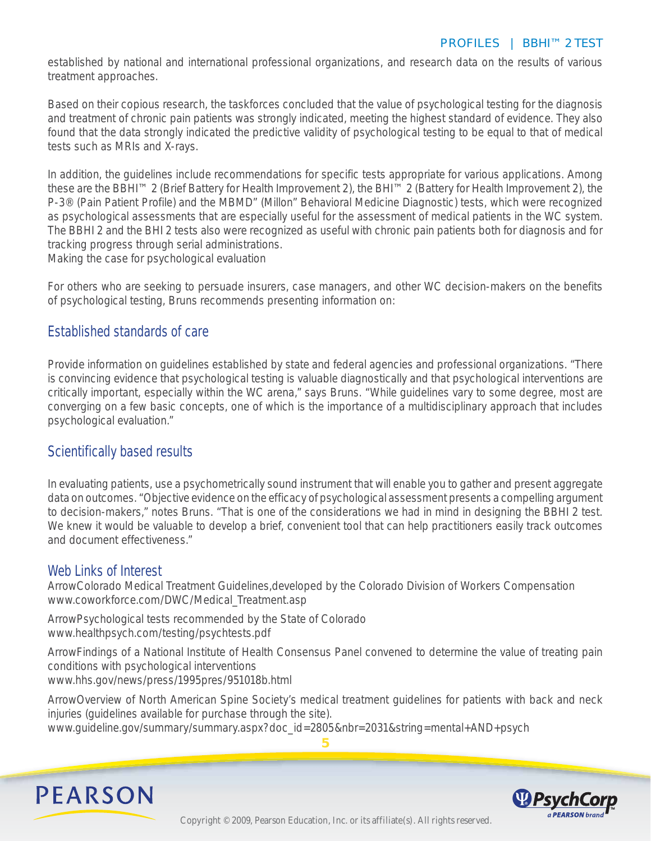established by national and international professional organizations, and research data on the results of various treatment approaches.

Based on their copious research, the taskforces concluded that the value of psychological testing for the diagnosis and treatment of chronic pain patients was strongly indicated, meeting the highest standard of evidence. They also found that the data strongly indicated the predictive validity of psychological testing to be equal to that of medical tests such as MRIs and X-rays.

In addition, the guidelines include recommendations for specific tests appropriate for various applications. Among these are the BBHI™ 2 (Brief Battery for Health Improvement 2), the BHI™ 2 (Battery for Health Improvement 2), the P-3® (Pain Patient Profile) and the MBMD" (Millon" Behavioral Medicine Diagnostic) tests, which were recognized as psychological assessments that are especially useful for the assessment of medical patients in the WC system. The BBHI 2 and the BHI 2 tests also were recognized as useful with chronic pain patients both for diagnosis and for tracking progress through serial administrations.

Making the case for psychological evaluation

For others who are seeking to persuade insurers, case managers, and other WC decision-makers on the benefits of psychological testing, Bruns recommends presenting information on:

## Established standards of care

Provide information on guidelines established by state and federal agencies and professional organizations. "There is convincing evidence that psychological testing is valuable diagnostically and that psychological interventions are critically important, especially within the WC arena," says Bruns. "While guidelines vary to some degree, most are converging on a few basic concepts, one of which is the importance of a multidisciplinary approach that includes psychological evaluation."

## Scientifically based results

In evaluating patients, use a psychometrically sound instrument that will enable you to gather and present aggregate data on outcomes. "Objective evidence on the efficacy of psychological assessment presents a compelling argument to decision-makers," notes Bruns. "That is one of the considerations we had in mind in designing the BBHI 2 test. We knew it would be valuable to develop a brief, convenient tool that can help practitioners easily track outcomes and document effectiveness."

### Web Links of Interest

ArrowColorado Medical Treatment Guidelines,developed by the Colorado Division of Workers Compensation www.coworkforce.com/DWC/Medical\_Treatment.asp

ArrowPsychological tests recommended by the State of Colorado www.healthpsych.com/testing/psychtests.pdf

ArrowFindings of a National Institute of Health Consensus Panel convened to determine the value of treating pain conditions with psychological interventions www.hhs.gov/news/press/1995pres/951018b.html

ArrowOverview of North American Spine Society's medical treatment guidelines for patients with back and neck injuries (guidelines available for purchase through the site).

**5**

www.guideline.gov/summary/summary.aspx?doc\_id=2805&nbr=2031&string=mental+AND+psych